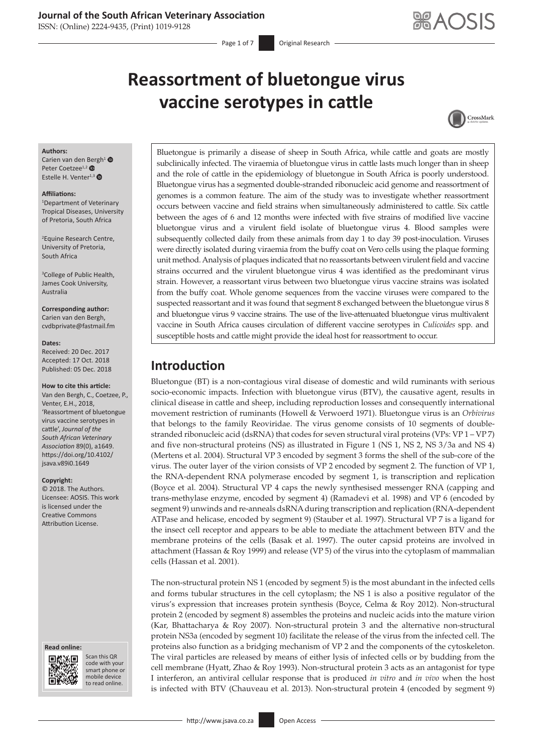ISSN: (Online) 2224-9435, (Print) 1019-9128

Page 1 of 7 **Original Research** 

# **Reassortment of bluetongue virus vaccine serotypes in cattle**



### **Authors:**

Carien van den [Ber](https://orcid.org/0000-0001-5488-6896)gh<sup>[1](https://orcid.org/0000-0003-3797-598X)</sup> Peter Coetzee<sup>1,2</sup> Estelle H. Venter $1,3$  $1,3$   $\bullet$ 

### **Affiliations:**

1 Department of Veterinary Tropical Diseases, University of Pretoria, South Africa

2 Equine Research Centre, University of Pretoria, South Africa

3 College of Public Health, James Cook University, Australia

**Corresponding author:** Carien van den Bergh, [cvdbprivate@fastmail.fm](mailto:cvdbprivate@fastmail.fm)

#### **Dates:**

Received: 20 Dec. 2017 Accepted: 17 Oct. 2018 Published: 05 Dec. 2018

### **How to cite this article:**

Van den Bergh, C., Coetzee, P., Venter, E.H., 2018, 'Reassortment of bluetongue virus vaccine serotypes in cattle', *Journal of the South African Veterinary Association* 89(0), a1649. [https://doi.org/10.4102/](https://doi.org/10.4102/jsava.v89i0.1371) [jsava.v89i0.16](https://doi.org/10.4102/jsava.v89i0.1371)49

### **Copyright:**

© 2018. The Authors. Licensee: AOSIS. This work is licensed under the Creative Commons Attribution License.

#### **Read online: Read**



Scan this QR code with your Scan this QR<br>code with your<br>smart phone or<br>mobile device mobile device to read online. to read online.

Bluetongue is primarily a disease of sheep in South Africa, while cattle and goats are mostly subclinically infected. The viraemia of bluetongue virus in cattle lasts much longer than in sheep and the role of cattle in the epidemiology of bluetongue in South Africa is poorly understood. Bluetongue virus has a segmented double-stranded ribonucleic acid genome and reassortment of genomes is a common feature. The aim of the study was to investigate whether reassortment occurs between vaccine and field strains when simultaneously administered to cattle. Six cattle between the ages of 6 and 12 months were infected with five strains of modified live vaccine bluetongue virus and a virulent field isolate of bluetongue virus 4. Blood samples were subsequently collected daily from these animals from day 1 to day 39 post-inoculation. Viruses were directly isolated during viraemia from the buffy coat on Vero cells using the plaque forming unit method. Analysis of plaques indicated that no reassortants between virulent field and vaccine strains occurred and the virulent bluetongue virus 4 was identified as the predominant virus strain. However, a reassortant virus between two bluetongue virus vaccine strains was isolated from the buffy coat. Whole genome sequences from the vaccine viruses were compared to the suspected reassortant and it was found that segment 8 exchanged between the bluetongue virus 8 and bluetongue virus 9 vaccine strains. The use of the live-attenuated bluetongue virus multivalent vaccine in South Africa causes circulation of different vaccine serotypes in *Culicoides* spp. and susceptible hosts and cattle might provide the ideal host for reassortment to occur.

# **Introduction**

Bluetongue (BT) is a non-contagious viral disease of domestic and wild ruminants with serious socio-economic impacts. Infection with bluetongue virus (BTV), the causative agent, results in clinical disease in cattle and sheep, including reproduction losses and consequently international movement restriction of ruminants (Howell & Verwoerd 1971). Bluetongue virus is an *Orbivirus* that belongs to the family Reoviridae. The virus genome consists of 10 segments of doublestranded ribonucleic acid (dsRNA) that codes for seven structural viral proteins (VPs: VP 1 – VP 7) and five non-structural proteins (NS) as illustrated in Figure 1 (NS 1, NS 2, NS 3/3a and NS 4) (Mertens et al. 2004). Structural VP 3 encoded by segment 3 forms the shell of the sub-core of the virus. The outer layer of the virion consists of VP 2 encoded by segment 2. The function of VP 1, the RNA-dependent RNA polymerase encoded by segment 1, is transcription and replication (Boyce et al. 2004). Structural VP 4 caps the newly synthesised messenger RNA (capping and trans-methylase enzyme, encoded by segment 4) (Ramadevi et al. 1998) and VP 6 (encoded by segment 9) unwinds and re-anneals dsRNA during transcription and replication (RNA-dependent ATPase and helicase, encoded by segment 9) (Stauber et al. 1997). Structural VP 7 is a ligand for the insect cell receptor and appears to be able to mediate the attachment between BTV and the membrane proteins of the cells (Basak et al. 1997). The outer capsid proteins are involved in attachment (Hassan & Roy 1999) and release (VP 5) of the virus into the cytoplasm of mammalian cells (Hassan et al. 2001).

The non-structural protein NS 1 (encoded by segment 5) is the most abundant in the infected cells and forms tubular structures in the cell cytoplasm; the NS 1 is also a positive regulator of the virus's expression that increases protein synthesis (Boyce, Celma & Roy 2012). Non-structural protein 2 (encoded by segment 8) assembles the proteins and nucleic acids into the mature virion (Kar, Bhattacharya & Roy 2007). Non-structural protein 3 and the alternative non-structural protein NS3a (encoded by segment 10) facilitate the release of the virus from the infected cell. The proteins also function as a bridging mechanism of VP 2 and the components of the cytoskeleton. The viral particles are released by means of either lysis of infected cells or by budding from the cell membrane (Hyatt, Zhao & Roy 1993). Non-structural protein 3 acts as an antagonist for type I interferon, an antiviral cellular response that is produced *in vitro* and *in vivo* when the host is infected with BTV (Chauveau et al. 2013). Non-structural protein 4 (encoded by segment 9)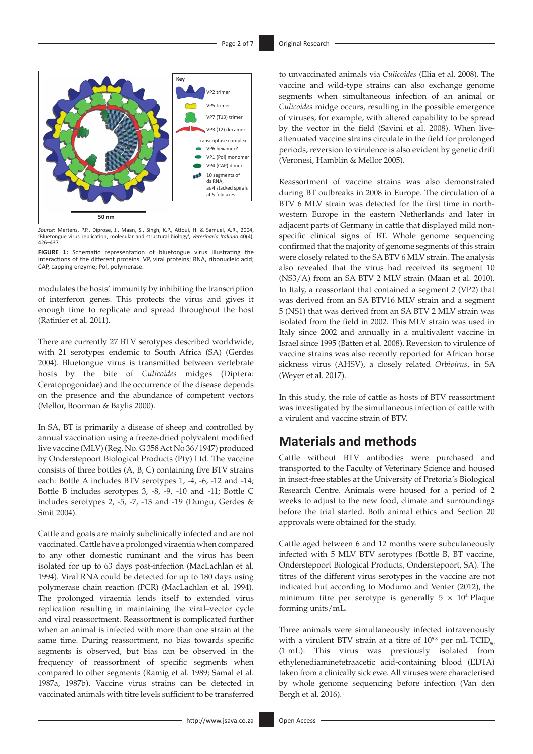

*Source*: Mertens, P.P., Diprose, J., Maan, S., Singh, K.P., Attoui, H. & Samuel, A.R., 2004, 'Bluetongue virus replication, molecular and structural biology', *Veterinaria Italiana* 40(4), 426–437



modulates the hosts' immunity by inhibiting the transcription of interferon genes. This protects the virus and gives it enough time to replicate and spread throughout the host (Ratinier et al. 2011).

There are currently 27 BTV serotypes described worldwide, with 21 serotypes endemic to South Africa (SA) (Gerdes 2004). Bluetongue virus is transmitted between vertebrate hosts by the bite of *Culicoides* midges (Diptera: Ceratopogonidae) and the occurrence of the disease depends on the presence and the abundance of competent vectors (Mellor, Boorman & Baylis 2000).

In SA, BT is primarily a disease of sheep and controlled by annual vaccination using a freeze-dried polyvalent modified live vaccine (MLV) (Reg. No. G 358 Act No 36/1947) produced by Onderstepoort Biological Products (Pty) Ltd. The vaccine consists of three bottles (A, B, C) containing five BTV strains each: Bottle A includes BTV serotypes 1, -4, -6, -12 and -14; Bottle B includes serotypes 3, -8, -9, -10 and -11; Bottle C includes serotypes 2, -5, -7, -13 and -19 (Dungu, Gerdes & Smit 2004).

Cattle and goats are mainly subclinically infected and are not vaccinated. Cattle have a prolonged viraemia when compared to any other domestic ruminant and the virus has been isolated for up to 63 days post-infection (MacLachlan et al. 1994). Viral RNA could be detected for up to 180 days using polymerase chain reaction (PCR) (MacLachlan et al. 1994). The prolonged viraemia lends itself to extended virus replication resulting in maintaining the viral–vector cycle and viral reassortment. Reassortment is complicated further when an animal is infected with more than one strain at the same time. During reassortment, no bias towards specific segments is observed, but bias can be observed in the frequency of reassortment of specific segments when compared to other segments (Ramig et al. 1989; Samal et al. 1987a, 1987b). Vaccine virus strains can be detected in vaccinated animals with titre levels sufficient to be transferred

to unvaccinated animals via *Culicoides* (Elia et al. 2008). The vaccine and wild-type strains can also exchange genome segments when simultaneous infection of an animal or *Culicoides* midge occurs, resulting in the possible emergence of viruses, for example, with altered capability to be spread by the vector in the field (Savini et al. 2008). When liveattenuated vaccine strains circulate in the field for prolonged periods, reversion to virulence is also evident by genetic drift (Veronesi, Hamblin & Mellor 2005).

Reassortment of vaccine strains was also demonstrated during BT outbreaks in 2008 in Europe. The circulation of a BTV 6 MLV strain was detected for the first time in northwestern Europe in the eastern Netherlands and later in adjacent parts of Germany in cattle that displayed mild nonspecific clinical signs of BT. Whole genome sequencing confirmed that the majority of genome segments of this strain were closely related to the SA BTV 6 MLV strain. The analysis also revealed that the virus had received its segment 10 (NS3/A) from an SA BTV 2 MLV strain (Maan et al. 2010). In Italy, a reassortant that contained a segment 2 (VP2) that was derived from an SA BTV16 MLV strain and a segment 5 (NS1) that was derived from an SA BTV 2 MLV strain was isolated from the field in 2002. This MLV strain was used in Italy since 2002 and annually in a multivalent vaccine in Israel since 1995 (Batten et al. 2008). Reversion to virulence of vaccine strains was also recently reported for African horse sickness virus (AHSV), a closely related *Orbivirus*, in SA (Weyer et al. 2017).

In this study, the role of cattle as hosts of BTV reassortment was investigated by the simultaneous infection of cattle with a virulent and vaccine strain of BTV.

# **Materials and methods**

Cattle without BTV antibodies were purchased and transported to the Faculty of Veterinary Science and housed in insect-free stables at the University of Pretoria's Biological Research Centre. Animals were housed for a period of 2 weeks to adjust to the new food, climate and surroundings before the trial started. Both animal ethics and Section 20 approvals were obtained for the study.

Cattle aged between 6 and 12 months were subcutaneously infected with 5 MLV BTV serotypes (Bottle B, BT vaccine, Onderstepoort Biological Products, Onderstepoort, SA). The titres of the different virus serotypes in the vaccine are not indicated but according to Modumo and Venter (2012), the minimum titre per serotype is generally  $5 \times 10^4$  Plaque forming units/mL.

Three animals were simultaneously infected intravenously with a virulent BTV strain at a titre of  $10^{5.8}$  per mL TCID<sub>50</sub> (1 mL). This virus was previously isolated from ethylenediaminetetraacetic acid-containing blood (EDTA) taken from a clinically sick ewe. All viruses were characterised by whole genome sequencing before infection (Van den Bergh et al. 2016).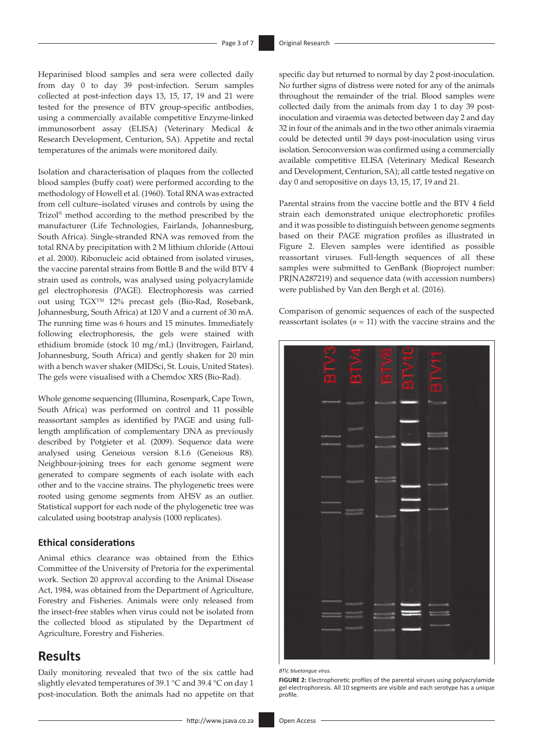Heparinised blood samples and sera were collected daily from day 0 to day 39 post-infection. Serum samples collected at post-infection days 13, 15, 17, 19 and 21 were tested for the presence of BTV group-specific antibodies, using a commercially available competitive Enzyme-linked immunosorbent assay (ELISA) (Veterinary Medical & Research Development, Centurion, SA). Appetite and rectal temperatures of the animals were monitored daily.

Isolation and characterisation of plaques from the collected blood samples (buffy coat) were performed according to the methodology of Howell et al. (1960). Total RNA was extracted from cell culture–isolated viruses and controls by using the Trizol® method according to the method prescribed by the manufacturer (Life Technologies, Fairlands, Johannesburg, South Africa). Single-stranded RNA was removed from the total RNA by precipitation with 2 M lithium chloride (Attoui et al. 2000). Ribonucleic acid obtained from isolated viruses, the vaccine parental strains from Bottle B and the wild BTV 4 strain used as controls, was analysed using polyacrylamide gel electrophoresis (PAGE). Electrophoresis was carried out using TGX™ 12% precast gels (Bio-Rad, Rosebank, Johannesburg, South Africa) at 120 V and a current of 30 mA. The running time was 6 hours and 15 minutes. Immediately following electrophoresis, the gels were stained with ethidium bromide (stock 10 mg/mL) (Invitrogen, Fairland, Johannesburg, South Africa) and gently shaken for 20 min with a bench waver shaker (MIDSci, St. Louis, United States). The gels were visualised with a Chemdoc XRS (Bio-Rad).

Whole genome sequencing (Illumina, Rosenpark, Cape Town, South Africa) was performed on control and 11 possible reassortant samples as identified by PAGE and using fulllength amplification of complementary DNA as previously described by Potgieter et al. (2009). Sequence data were analysed using Geneious version 8.1.6 (Geneious R8). Neighbour-joining trees for each genome segment were generated to compare segments of each isolate with each other and to the vaccine strains. The phylogenetic trees were rooted using genome segments from AHSV as an outlier. Statistical support for each node of the phylogenetic tree was calculated using bootstrap analysis (1000 replicates).

### **Ethical considerations**

Animal ethics clearance was obtained from the Ethics Committee of the University of Pretoria for the experimental work. Section 20 approval according to the Animal Disease Act, 1984, was obtained from the Department of Agriculture, Forestry and Fisheries. Animals were only released from the insect-free stables when virus could not be isolated from the collected blood as stipulated by the Department of Agriculture, Forestry and Fisheries.

# **Results**

Daily monitoring revealed that two of the six cattle had slightly elevated temperatures of 39.1 °C and 39.4 °C on day 1 post-inoculation. Both the animals had no appetite on that specific day but returned to normal by day 2 post-inoculation. No further signs of distress were noted for any of the animals throughout the remainder of the trial. Blood samples were collected daily from the animals from day 1 to day 39 postinoculation and viraemia was detected between day 2 and day 32 in four of the animals and in the two other animals viraemia could be detected until 39 days post-inoculation using virus isolation. Seroconversion was confirmed using a commercially available competitive ELISA (Veterinary Medical Research and Development, Centurion, SA); all cattle tested negative on day 0 and seropositive on days 13, 15, 17, 19 and 21.

Parental strains from the vaccine bottle and the BTV 4 field strain each demonstrated unique electrophoretic profiles and it was possible to distinguish between genome segments based on their PAGE migration profiles as illustrated in Figure 2. Eleven samples were identified as possible reassortant viruses. Full-length sequences of all these samples were submitted to GenBank (Bioproject number: PRJNA287219) and sequence data (with accession numbers) were published by Van den Bergh et al. (2016).

Comparison of genomic sequences of each of the suspected reassortant isolates  $(n = 11)$  with the vaccine strains and the



*BTV, bluetongue virus.*

**FIGURE 2:** Electrophoretic profiles of the parental viruses using polyacrylamide gel electrophoresis. All 10 segments are visible and each serotype has a unique profile.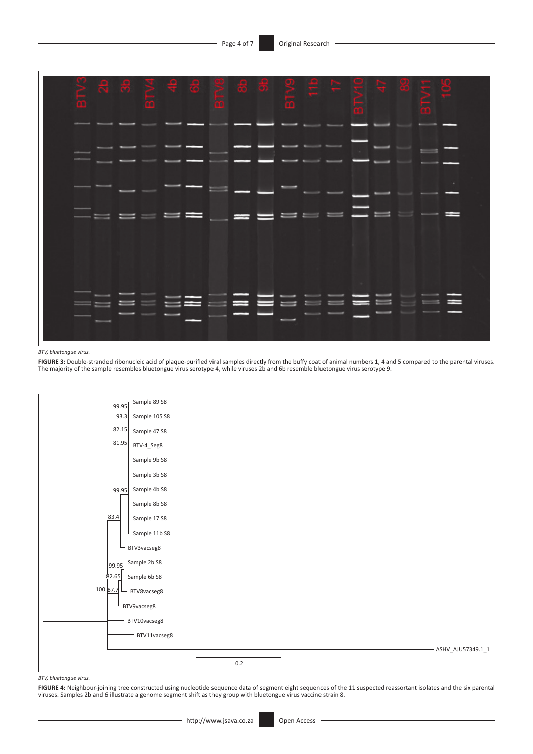

*BTV, bluetongue virus.*

FIGURE 3: Double-stranded ribonucleic acid of plaque-purified viral samples directly from the buffy coat of animal numbers 1, 4 and 5 compared to the parental viruses. The majority of the sample resembles bluetongue virus serotype 4, while viruses 2b and 6b resemble bluetongue virus serotype 9.



*BTV, bluetongue virus.*

FIGURE 4: Neighbour-joining tree constructed using nucleotide sequence data of segment eight sequences of the 11 suspected reassortant isolates and the six parental<br>viruses. Samples 2b and 6 illustrate a genome segment shi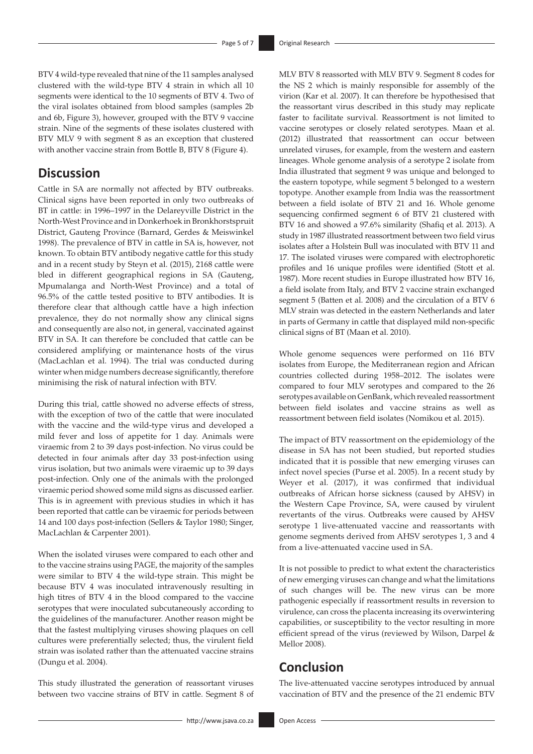BTV 4 wild-type revealed that nine of the 11 samples analysed clustered with the wild-type BTV 4 strain in which all 10 segments were identical to the 10 segments of BTV 4. Two of the viral isolates obtained from blood samples (samples 2b and 6b, Figure 3), however, grouped with the BTV 9 vaccine strain. Nine of the segments of these isolates clustered with BTV MLV 9 with segment 8 as an exception that clustered with another vaccine strain from Bottle B, BTV 8 (Figure 4).

# **Discussion**

Cattle in SA are normally not affected by BTV outbreaks. Clinical signs have been reported in only two outbreaks of BT in cattle: in 1996–1997 in the Delareyville District in the North-West Province and in Donkerhoek in Bronkhorstspruit District, Gauteng Province (Barnard, Gerdes & Meiswinkel 1998). The prevalence of BTV in cattle in SA is, however, not known. To obtain BTV antibody negative cattle for this study and in a recent study by Steyn et al. (2015), 2168 cattle were bled in different geographical regions in SA (Gauteng, Mpumalanga and North-West Province) and a total of 96.5% of the cattle tested positive to BTV antibodies. It is therefore clear that although cattle have a high infection prevalence, they do not normally show any clinical signs and consequently are also not, in general, vaccinated against BTV in SA. It can therefore be concluded that cattle can be considered amplifying or maintenance hosts of the virus (MacLachlan et al. 1994). The trial was conducted during winter when midge numbers decrease significantly, therefore minimising the risk of natural infection with BTV.

During this trial, cattle showed no adverse effects of stress, with the exception of two of the cattle that were inoculated with the vaccine and the wild-type virus and developed a mild fever and loss of appetite for 1 day. Animals were viraemic from 2 to 39 days post-infection. No virus could be detected in four animals after day 33 post-infection using virus isolation, but two animals were viraemic up to 39 days post-infection. Only one of the animals with the prolonged viraemic period showed some mild signs as discussed earlier. This is in agreement with previous studies in which it has been reported that cattle can be viraemic for periods between 14 and 100 days post-infection (Sellers & Taylor 1980; Singer, MacLachlan & Carpenter 2001).

When the isolated viruses were compared to each other and to the vaccine strains using PAGE, the majority of the samples were similar to BTV 4 the wild-type strain. This might be because BTV 4 was inoculated intravenously resulting in high titres of BTV 4 in the blood compared to the vaccine serotypes that were inoculated subcutaneously according to the guidelines of the manufacturer. Another reason might be that the fastest multiplying viruses showing plaques on cell cultures were preferentially selected; thus, the virulent field strain was isolated rather than the attenuated vaccine strains (Dungu et al. 2004).

This study illustrated the generation of reassortant viruses between two vaccine strains of BTV in cattle. Segment 8 of MLV BTV 8 reassorted with MLV BTV 9. Segment 8 codes for the NS 2 which is mainly responsible for assembly of the virion (Kar et al. 2007). It can therefore be hypothesised that the reassortant virus described in this study may replicate faster to facilitate survival. Reassortment is not limited to vaccine serotypes or closely related serotypes. Maan et al. (2012) illustrated that reassortment can occur between unrelated viruses, for example, from the western and eastern lineages. Whole genome analysis of a serotype 2 isolate from India illustrated that segment 9 was unique and belonged to the eastern topotype, while segment 5 belonged to a western topotype. Another example from India was the reassortment between a field isolate of BTV 21 and 16. Whole genome sequencing confirmed segment 6 of BTV 21 clustered with BTV 16 and showed a 97.6% similarity (Shafiq et al. 2013). A study in 1987 illustrated reassortment between two field virus isolates after a Holstein Bull was inoculated with BTV 11 and 17. The isolated viruses were compared with electrophoretic profiles and 16 unique profiles were identified (Stott et al. 1987). More recent studies in Europe illustrated how BTV 16, a field isolate from Italy, and BTV 2 vaccine strain exchanged segment 5 (Batten et al. 2008) and the circulation of a BTV 6 MLV strain was detected in the eastern Netherlands and later in parts of Germany in cattle that displayed mild non-specific clinical signs of BT (Maan et al. 2010).

Whole genome sequences were performed on 116 BTV isolates from Europe, the Mediterranean region and African countries collected during 1958–2012. The isolates were compared to four MLV serotypes and compared to the 26 serotypes available on GenBank, which revealed reassortment between field isolates and vaccine strains as well as reassortment between field isolates (Nomikou et al. 2015).

The impact of BTV reassortment on the epidemiology of the disease in SA has not been studied, but reported studies indicated that it is possible that new emerging viruses can infect novel species (Purse et al. 2005). In a recent study by Weyer et al. (2017), it was confirmed that individual outbreaks of African horse sickness (caused by AHSV) in the Western Cape Province, SA, were caused by virulent revertants of the virus. Outbreaks were caused by AHSV serotype 1 live-attenuated vaccine and reassortants with genome segments derived from AHSV serotypes 1, 3 and 4 from a live-attenuated vaccine used in SA.

It is not possible to predict to what extent the characteristics of new emerging viruses can change and what the limitations of such changes will be. The new virus can be more pathogenic especially if reassortment results in reversion to virulence, can cross the placenta increasing its overwintering capabilities, or susceptibility to the vector resulting in more efficient spread of the virus (reviewed by Wilson, Darpel & Mellor 2008).

# **Conclusion**

The live-attenuated vaccine serotypes introduced by annual vaccination of BTV and the presence of the 21 endemic BTV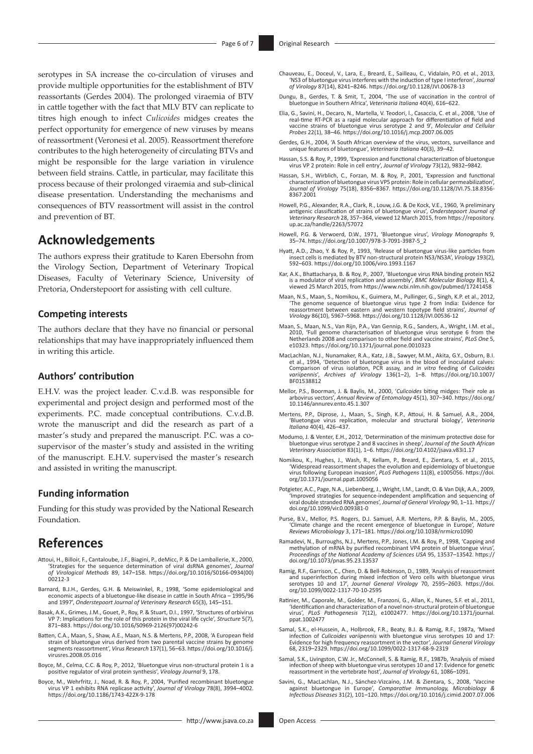serotypes in SA increase the co-circulation of viruses and provide multiple opportunities for the establishment of BTV reassortants (Gerdes 2004). The prolonged viraemia of BTV in cattle together with the fact that MLV BTV can replicate to titres high enough to infect *Culicoides* midges creates the perfect opportunity for emergence of new viruses by means of reassortment (Veronesi et al. 2005). Reassortment therefore contributes to the high heterogeneity of circulating BTVs and might be responsible for the large variation in virulence between field strains. Cattle, in particular, may facilitate this process because of their prolonged viraemia and sub-clinical disease presentation. Understanding the mechanisms and consequences of BTV reassortment will assist in the control and prevention of BT.

# **Acknowledgements**

The authors express their gratitude to Karen Ebersohn from the Virology Section, Department of Veterinary Tropical Diseases, Faculty of Veterinary Science, University of Pretoria, Onderstepoort for assisting with cell culture.

### **Competing interests**

The authors declare that they have no financial or personal relationships that may have inappropriately influenced them in writing this article.

### **Authors' contribution**

E.H.V. was the project leader. C.v.d.B. was responsible for experimental and project design and performed most of the experiments. P.C. made conceptual contributions. C.v.d.B. wrote the manuscript and did the research as part of a master's study and prepared the manuscript. P.C. was a cosupervisor of the master's study and assisted in the writing of the manuscript. E.H.V. supervised the master's research and assisted in writing the manuscript.

### **Funding information**

Funding for this study was provided by the National Research Foundation.

# **References**

- Attoui, H., Billoir, F., Cantaloube, J.F., Biagini, P., deMicc, P. & De Lamballerie, X., 2000, 'Strategies for the sequence determination of viral dsRNA genomes', *Journal of Virological Methods* 89, 147–158. [https://doi.org/10.1016/S0166-0934\(00\)](https://doi.org/10.1016/S0166-0934(00)00212-3) [00212-3](https://doi.org/10.1016/S0166-0934(00)00212-3)
- Barnard, B.J.H., Gerdes, G.H. & Meiswinkel, R., 1998, 'Some epidemiological and economic aspects of a bluetongue-like disease in cattle in South Africa – 1995/96 and 1997', *Onderstepoort Journal of Veterinary Research* 65(3), 145–151.
- Basak, A.K., Grimes, J.M., Gouet, P., Roy, P. & Stuart, D.I., 1997, 'Structures of orbivirus VP 7: Implications for the role of this protein in the viral life cycle', *Structure* 5(7), 871–883. [https://doi.org/10.1016/S0969-2126\(97\)00242-6](https://doi.org/10.1016/S0969-2126(97)00242-6)
- Batten, C.A., Maan, S., Shaw, A.E., Maan, N.S. & Mertens, P.P., 2008, 'A European field strain of bluetongue virus derived from two parental vaccine strains by genome segments reassortment', *Virus Research* 137(1), 56–63. [https://doi.org/10.1016/j.](https://doi.org/10.1016/j.virusres.2008.05.016) [virusres.2008.05.016](https://doi.org/10.1016/j.virusres.2008.05.016)
- Boyce, M., Celma, C.C. & Roy, P., 2012, 'Bluetongue virus non-structural protein 1 is a positive regulator of viral protein synthesis', *Virology Journal* 9, 178.
- Boyce, M., Wehrfritz, J., Noad, R. & Roy, P., 2004, 'Purified recombinant bluetongue virus VP 1 exhibits RNA replicase activity', *Journal of Virology* 78(8), 3994–4002. <https://doi.org/10.1186/1743-422X-9-178>
- Chauveau, E., Doceul, V., Lara, E., Breard, E., Sailleau, C., Vidalain, P.O. et al., 2013, 'NS3 of bluetongue virus interferes with the induction of type I interferon', *Journal of Virology* 87(14), 8241–8246. <https://doi.org/10.1128/JVI.00678-13>
- Dungu, B., Gerdes, T. & Smit, T., 2004, 'The use of vaccination in the control of bluetongue in Southern Africa', *Veterinaria Italiana* 40(4), 616–622.
- Elia, G., Savini, H., Decaro, N., Martella, V. Teodori, l., Casaccia, C. et al., 2008, 'Use of real-time RT-PCR as a rapid molecular approach for differentiation of field and vaccine strains of bluetongue virus serotype 2 and 9', *Molecular and Cellular Probes* 22(1), 38–46.<https://doi.org/10.1016/j.mcp.2007.06.005>
- Gerdes, G.H., 2004, 'A South African overview of the virus, vectors, surveillance and unique features of bluetongue', *Veterinaria Italiana* 40(3), 39–42.
- Hassan, S.S. & Roy, P., 1999, 'Expression and functional characterization of bluetongue virus VP 2 protein: Role in cell entry', *Journal of Virology* 73(12), 9832–9842.
- Hassan, S.H., Wirblich, C., Forzan, M. & Roy, P., 2001, 'Expression and functional<br>characterization of bluetongue virus VP5 protein: Role in cellular permeabilization',<br>Journal of Virology 75(18), 8356–8367. https://doi.or [8367.2001](https://doi.org/10.1128/JVI.75.18.8356-8367.2001)
- Howell, P.G., Alexander, R.A., Clark, R., Louw, J.G. & De Kock, V.E., 1960, 'A preliminary<br>antigenic classification of strains of bluetongue virus', Onderstepoort Journal of<br>Veterinary Research 28, 357–364, viewed 12 March [up.ac.za/handle/2263/57072](https://repository.up.ac.za/handle/2263/57072)
- Howell, P.G. & Verwoerd, D.W., 1971, 'Bluetongue virus', *Virology Monographs* 9, 35–74. [https://doi.org/10.1007/978-3-7091-3987-5\\_2](https://doi.org/10.1007/978-3-7091-3987-5_2)
- Hyatt, A.D., Zhao, Y. & Roy, P., 1993, 'Release of bluetongue virus-like particles from insect cells is mediated by BTV non-structural protein NS3/NS3A', *Virology* 193(2), 592–603.<https://doi.org/10.1006/viro.1993.1167>
- Kar, A.K., Bhattacharya, B. & Roy, P., 2007, 'Bluetongue virus RNA binding protein NS2 is a modulator of viral replication and assembly', *BMC Molecular Biology* 8(1), 4, viewed 25 March 2015, from<https://www.ncbi.nlm.nih.gov/pubmed/17241458>
- Maan, N.S., Maan, S., Nomikou, K., Guimera, M., Pullinger, G., Singh, K.P. et al., 2012, 'The genome sequence of bluetongue virus type 2 from India: Evidence for reassortment between eastern and western topotype field strains', *Journal of Virology* 86(10), 5967–5968.<https://doi.org/10.1128/JVI.00536-12>
- Maan, S., Maan, N.S., Van Rijn, P.A., Van Gennip, R.G., Sanders, A., Wright, I.M. et al., 2010, 'Full genome characterisation of bluetongue virus serotype 6 from the Netherlands 2008 and comparison to other field and vaccine strains', *PLoS One* 5, e10323. <https://doi.org/10.1371/journal.pone.0010323>
- MacLachlan, N.J., Nunamaker, R.A., Katz, J.B., Sawyer, M.M., Akita, G.Y., Osburn, B.I. et al., 1994, 'Detection of bluetongue virus in the blood of inoculated calves: Comparison of virus isolation, PCR assay, and *in vitro* feeding of *Culicoides variipennis*', *Archives of Virology* 136(1–2), 1–8. [https://doi.org/10.1007/](https://doi.org/10.1007/BF01538812) [BF01538812](https://doi.org/10.1007/BF01538812)
- Mellor, P.S., Boorman, J. & Baylis, M., 2000, '*Culicoides* biting midges: Their role as arbovirus vectors', *Annual Review of Entomology* 45(1), 307–340. [https://doi.org/](https://doi.org/10.1146/annurev.ento.45.1.307) [10.1146/annurev.ento.45.1.307](https://doi.org/10.1146/annurev.ento.45.1.307)
- Mertens, P.P., Diprose, J., Maan, S., Singh, K.P., Attoui, H. & Samuel, A.R., 2004, 'Bluetongue virus replication, molecular and structural biology', *Veterinaria Italiana* 40(4), 426–437.
- Modumo, J. & Venter, E.H., 2012, 'Determination of the minimum protective dose for bluetongue virus serotype 2 and 8 vaccines in sheep', *Journal of the South African Veterinary Association* 83(1), 1–6.<https://doi.org/10.4102/jsava.v83i1.17>
- Nomikou, K., Hughes, J., Wash, R., Kellam, P., Breard, E., Zientara, S. et al., 2015, 'Widespread reassortment shapes the evolution and epidemiology of bluetongue virus following European invasion', *PLoS Pathogens* 11(8), e1005056. [https://doi.](https://doi.org/10.1371/journal.ppat.1005056) [org/10.1371/journal.ppat.1005056](https://doi.org/10.1371/journal.ppat.1005056)
- Potgieter, A.C., Page, N.A., Liebenberg, J., Wright, I.M., Landt, O. & Van Dijk, A.A., 2009, 'Improved strategies for sequence-independent amplification and sequencing of viral double stranded RNA genomes', *Journal of General Virology* 90, 1–11. [https://](https://doi.org/10.1099/vir.0.009381-0) [doi.org/10.1099/vir.0.009381-0](https://doi.org/10.1099/vir.0.009381-0)
- Purse, B.V., Mellor, P.S. Rogers, D.J. Samuel, A.R. Mertens, P.P. & Baylis, M., 2005, 'Climate change and the recent emergence of bluetongue in Europe', *Nature Reviews Microbiology* 3, 171–181.<https://doi.org/10.1038/nrmicro1090>
- Ramadevi, N., Burroughs, N.J., Mertens, P.P., Jones, I.M. & Roy, P., 1998, 'Capping and methylation of mRNA by purified recombinant VP4 protein of bluetongue virus', *Proceedings of the National Academy of Sciences USA* 95, 13537–13542. [https://](https://doi.org/10.1073/pnas.95.23.13537) [doi.org/10.1073/pnas.95.23.13537](https://doi.org/10.1073/pnas.95.23.13537)
- Ramig, R.F., Garrison, C., Chen, D. & Bell-Robinson, D., 1989, 'Analysis of reassortment and superinfection during mixed infection of Vero cells with bluetongue virus<br>serotypes 10 and 17', *Journal General Virology 7*0, 2595–2603. [https://doi.](https://doi.org/10.1099/0022-1317-70-10-2595)<br>[org/10.1099/0022-1317-70-10-2595](https://doi.org/10.1099/0022-1317-70-10-2595)
- Ratinier, M., Caporale, M., Golder, M., Franzoni, G., Allan, K., Nunes, S.F. et al., 2011, 'Identification and characterization of a novel non-structural protein of bluetongue virus', *PLoS Pathogenesis* 7(12), e1002477. [https://doi.org/10.1371/journal.](https://doi.org/10.1371/journal.ppat.1002477) [ppat.1002477](https://doi.org/10.1371/journal.ppat.1002477)
- Samal, S.K., el-Hussein, A., Holbrook, F.R., Beaty, B.J. & Ramig, R.F., 1987a, 'Mixed infection of *Culicoides variipennis* with bluetongue virus serotypes 10 and 17: Evidence for high frequency reassortment in the vector', *Journal General Virology* 68, 2319–2329. <https://doi.org/10.1099/0022-1317-68-9-2319>
- Samal, S.K., Livingston, C.W. Jr., McConnell, S. & Ramig, R.F., 1987b, 'Analysis of mixed infection of sheep with bluetongue virus serotypes 10 and 17: Evidence for genetic reassortment in the vertebrate host', *Journal of Virology* 61, 1086–1091.
- Savini, G., MacLachlan, N.J., Sánchez-Vizcaíno, J.M. & Zientara, S., 2008, 'Vaccine against bluetongue in Europe', *Comparative Immunology, Microbiology & Infectious Diseases* 31(2), 101–120. <https://doi.org/10.1016/j.cimid.2007.07.006>